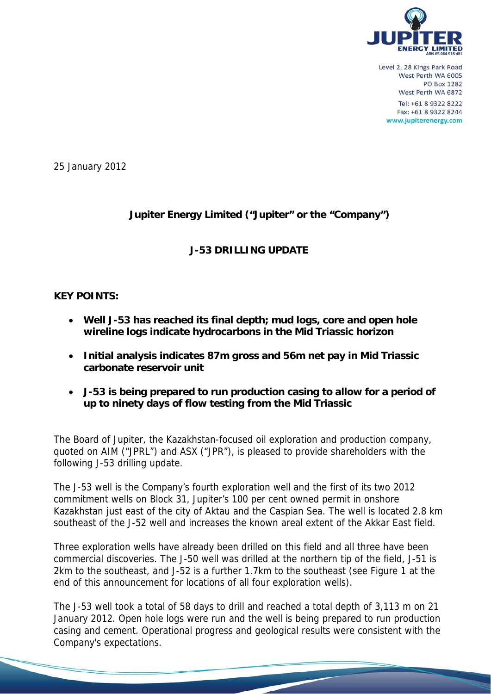

Level 2, 28 Kings Park Road West Perth WA 6005 **PO Box 1282** West Perth WA 6872 Tel: +61 8 9322 8222 Fax: +61 8 9322 8244 www.jupiterenergy.com

25 January 2012

# **Jupiter Energy Limited ("Jupiter" or the "Company")**

# **J-53 DRILLING UPDATE**

# **KEY POINTS:**

- **Well J-53 has reached its final depth; mud logs, core and open hole wireline logs indicate hydrocarbons in the Mid Triassic horizon**
- **Initial analysis indicates 87m gross and 56m net pay in Mid Triassic carbonate reservoir unit**
- **J-53 is being prepared to run production casing to allow for a period of up to ninety days of flow testing from the Mid Triassic**

The Board of Jupiter, the Kazakhstan-focused oil exploration and production company, quoted on AIM ("JPRL") and ASX ("JPR"), is pleased to provide shareholders with the following J-53 drilling update.

The J-53 well is the Company's fourth exploration well and the first of its two 2012 commitment wells on Block 31, Jupiter's 100 per cent owned permit in onshore Kazakhstan just east of the city of Aktau and the Caspian Sea. The well is located 2.8 km southeast of the J-52 well and increases the known areal extent of the Akkar East field.

Three exploration wells have already been drilled on this field and all three have been commercial discoveries. The J-50 well was drilled at the northern tip of the field, J-51 is 2km to the southeast, and J-52 is a further 1.7km to the southeast (see Figure 1 at the end of this announcement for locations of all four exploration wells).

The J-53 well took a total of 58 days to drill and reached a total depth of 3,113 m on 21 January 2012. Open hole logs were run and the well is being prepared to run production casing and cement. Operational progress and geological results were consistent with the Company's expectations.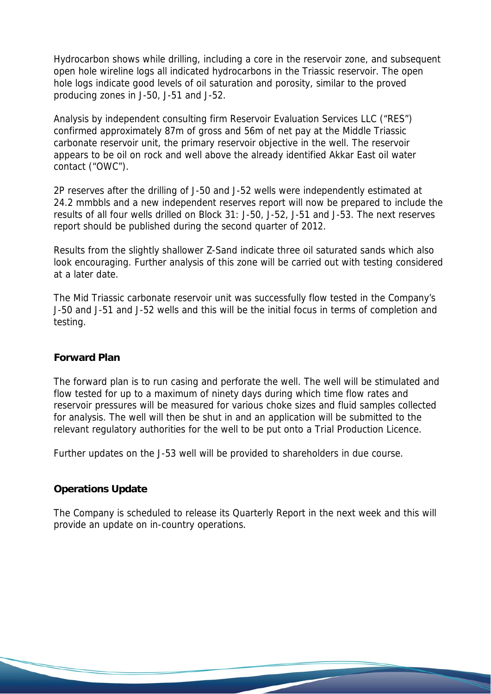Hydrocarbon shows while drilling, including a core in the reservoir zone, and subsequent open hole wireline logs all indicated hydrocarbons in the Triassic reservoir. The open hole logs indicate good levels of oil saturation and porosity, similar to the proved producing zones in J-50, J-51 and J-52.

Analysis by independent consulting firm Reservoir Evaluation Services LLC ("RES") confirmed approximately 87m of gross and 56m of net pay at the Middle Triassic carbonate reservoir unit, the primary reservoir objective in the well. The reservoir appears to be oil on rock and well above the already identified Akkar East oil water contact ("OWC").

2P reserves after the drilling of J-50 and J-52 wells were independently estimated at 24.2 mmbbls and a new independent reserves report will now be prepared to include the results of all four wells drilled on Block 31: J-50, J-52, J-51 and J-53. The next reserves report should be published during the second quarter of 2012.

Results from the slightly shallower Z-Sand indicate three oil saturated sands which also look encouraging. Further analysis of this zone will be carried out with testing considered at a later date.

The Mid Triassic carbonate reservoir unit was successfully flow tested in the Company's J-50 and J-51 and J-52 wells and this will be the initial focus in terms of completion and testing.

## **Forward Plan**

The forward plan is to run casing and perforate the well. The well will be stimulated and flow tested for up to a maximum of ninety days during which time flow rates and reservoir pressures will be measured for various choke sizes and fluid samples collected for analysis. The well will then be shut in and an application will be submitted to the relevant regulatory authorities for the well to be put onto a Trial Production Licence.

Further updates on the J-53 well will be provided to shareholders in due course.

## **Operations Update**

The Company is scheduled to release its Quarterly Report in the next week and this will provide an update on in-country operations.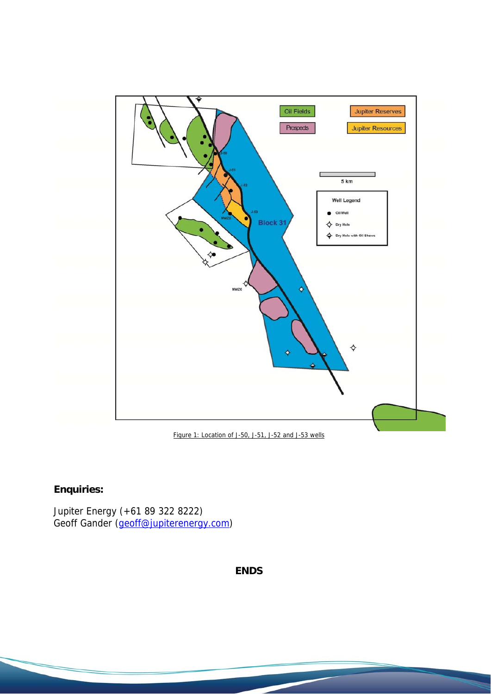

#### Figure 1: Location of J-50, J-51, J-52 and J-53 wells

# **Enquiries:**

Jupiter Energy (+61 89 322 8222) Geoff Gander (*geoff@jupiterenergy.com*)

# **ENDS**